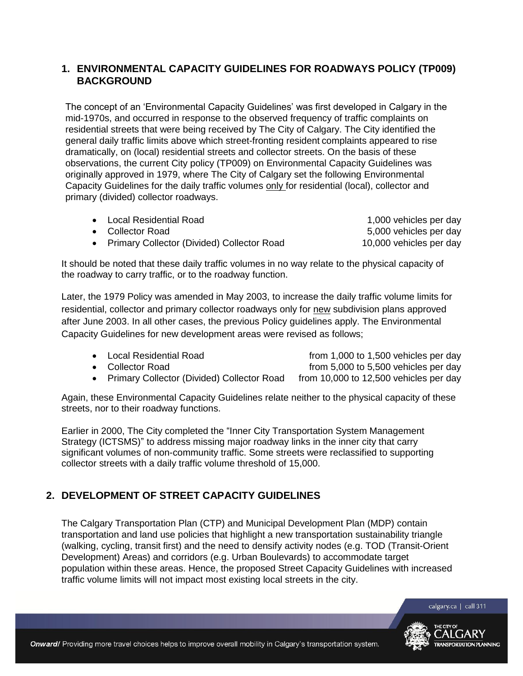## **1. ENVIRONMENTAL CAPACITY GUIDELINES FOR ROADWAYS POLICY (TP009) BACKGROUND**

The concept of an 'Environmental Capacity Guidelines' was first developed in Calgary in the mid-1970s, and occurred in response to the observed frequency of traffic complaints on residential streets that were being received by The City of Calgary. The City identified the general daily traffic limits above which street-fronting resident complaints appeared to rise dramatically, on (local) residential streets and collector streets. On the basis of these observations, the current City policy (TP009) on Environmental Capacity Guidelines was originally approved in 1979, where The City of Calgary set the following Environmental Capacity Guidelines for the daily traffic volumes only for residential (local), collector and primary (divided) collector roadways.

| • Local Residential Road                     | 1,000 vehicles per day  |
|----------------------------------------------|-------------------------|
| • Collector Road                             | 5,000 vehicles per day  |
| • Primary Collector (Divided) Collector Road | 10,000 vehicles per day |

It should be noted that these daily traffic volumes in no way relate to the physical capacity of the roadway to carry traffic, or to the roadway function.

Later, the 1979 Policy was amended in May 2003, to increase the daily traffic volume limits for residential, collector and primary collector roadways only for new subdivision plans approved after June 2003. In all other cases, the previous Policy guidelines apply. The Environmental Capacity Guidelines for new development areas were revised as follows;

• Local Residential Road **from 1,000 to 1,500 vehicles per day** • Collector Road **from 5,000 to 5,500 vehicles per day** 

• Primary Collector (Divided) Collector Road from 10,000 to 12,500 vehicles per day

Again, these Environmental Capacity Guidelines relate neither to the physical capacity of these streets, nor to their roadway functions.

Earlier in 2000, The City completed the "Inner City Transportation System Management Strategy (ICTSMS)" to address missing major roadway links in the inner city that carry significant volumes of non-community traffic. Some streets were reclassified to supporting collector streets with a daily traffic volume threshold of 15,000.

## **2. DEVELOPMENT OF STREET CAPACITY GUIDELINES**

The Calgary Transportation Plan (CTP) and Municipal Development Plan (MDP) contain transportation and land use policies that highlight a new transportation sustainability triangle (walking, cycling, transit first) and the need to densify activity nodes (e.g. TOD (Transit-Orient Development) Areas) and corridors (e.g. Urban Boulevards) to accommodate target population within these areas. Hence, the proposed Street Capacity Guidelines with increased traffic volume limits will not impact most existing local streets in the city.

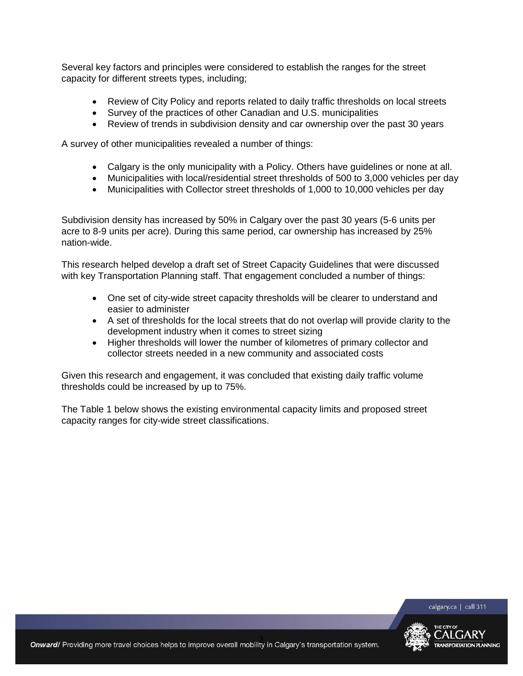Several key factors and principles were considered to establish the ranges for the street capacity for different streets types, including;

- Review of City Policy and reports related to daily traffic thresholds on local streets
- Survey of the practices of other Canadian and U.S. municipalities
- Review of trends in subdivision density and car ownership over the past 30 years

A survey of other municipalities revealed a number of things:

- Calgary is the only municipality with a Policy. Others have guidelines or none at all.
- Municipalities with local/residential street thresholds of 500 to 3,000 vehicles per day
- Municipalities with Collector street thresholds of 1,000 to 10,000 vehicles per day

Subdivision density has increased by 50% in Calgary over the past 30 years (5-6 units per acre to 8-9 units per acre). During this same period, car ownership has increased by 25% nation-wide.

This research helped develop a draft set of Street Capacity Guidelines that were discussed with key Transportation Planning staff. That engagement concluded a number of things:

- One set of city-wide street capacity thresholds will be clearer to understand and easier to administer
- A set of thresholds for the local streets that do not overlap will provide clarity to the development industry when it comes to street sizing
- Higher thresholds will lower the number of kilometres of primary collector and collector streets needed in a new community and associated costs

Given this research and engagement, it was concluded that existing daily traffic volume thresholds could be increased by up to 75%.

The Table 1 below shows the existing environmental capacity limits and proposed street capacity ranges for city-wide street classifications.



calgary.ca | call 311